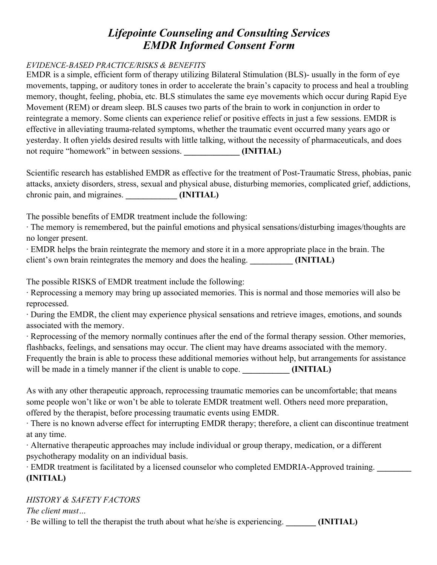# *Lifepointe Counseling and Consulting Services EMDR Informed Consent Form*

## *EVIDENCE-BASED PRACTICE/RISKS & BENEFITS*

EMDR is a simple, efficient form of therapy utilizing Bilateral Stimulation (BLS)- usually in the form of eye movements, tapping, or auditory tones in order to accelerate the brain's capacity to process and heal a troubling memory, thought, feeling, phobia, etc. BLS stimulates the same eye movements which occur during Rapid Eye Movement (REM) or dream sleep. BLS causes two parts of the brain to work in conjunction in order to reintegrate a memory. Some clients can experience relief or positive effects in just a few sessions. EMDR is effective in alleviating trauma-related symptoms, whether the traumatic event occurred many years ago or yesterday. It often yields desired results with little talking, without the necessity of pharmaceuticals, and does not require "homework" in between sessions. *INITIAL* 

Scientific research has established EMDR as effective for the treatment of Post-Traumatic Stress, phobias, panic attacks, anxiety disorders, stress, sexual and physical abuse, disturbing memories, complicated grief, addictions, chronic pain, and migraines. **\_\_\_\_\_\_\_\_\_\_\_\_ (INITIAL)** 

The possible benefits of EMDR treatment include the following:

∙ The memory is remembered, but the painful emotions and physical sensations/disturbing images/thoughts are no longer present.

∙ EMDR helps the brain reintegrate the memory and store it in a more appropriate place in the brain. The client's own brain reintegrates the memory and does the healing. *INITIAL* 

The possible RISKS of EMDR treatment include the following:

∙ Reprocessing a memory may bring up associated memories. This is normal and those memories will also be reprocessed.

∙ During the EMDR, the client may experience physical sensations and retrieve images, emotions, and sounds associated with the memory.

∙ Reprocessing of the memory normally continues after the end of the formal therapy session. Other memories, flashbacks, feelings, and sensations may occur. The client may have dreams associated with the memory. Frequently the brain is able to process these additional memories without help, but arrangements for assistance will be made in a timely manner if the client is unable to cope. *(INITIAL)* 

As with any other therapeutic approach, reprocessing traumatic memories can be uncomfortable; that means some people won't like or won't be able to tolerate EMDR treatment well. Others need more preparation, offered by the therapist, before processing traumatic events using EMDR.

∙ There is no known adverse effect for interrupting EMDR therapy; therefore, a client can discontinue treatment at any time.

∙ Alternative therapeutic approaches may include individual or group therapy, medication, or a different psychotherapy modality on an individual basis.

∙ EMDR treatment is facilitated by a licensed counselor who completed EMDRIA-Approved training. **\_\_\_\_\_\_\_\_ (INITIAL)** 

# *HISTORY & SAFETY FACTORS*

*The client must…* 

∙ Be willing to tell the therapist the truth about what he/she is experiencing. **\_\_\_\_\_\_\_ (INITIAL)**